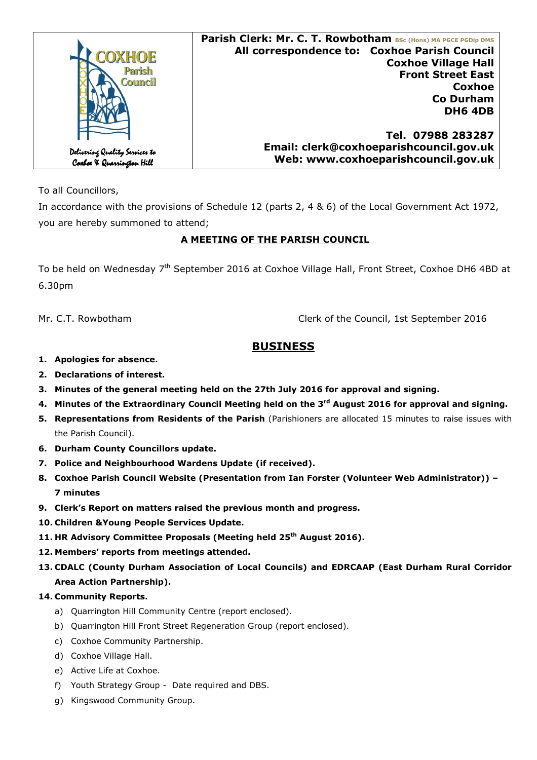|                                                             | Parish Clerk: Mr. C. T. Rowbotham BSc (Hons) MA PGCE PGDip DMS |
|-------------------------------------------------------------|----------------------------------------------------------------|
| OXHOE                                                       | All correspondence to: Coxhoe Parish Council                   |
|                                                             | <b>Coxhoe Village Hall</b>                                     |
| Parish<br><b>Council</b>                                    | <b>Front Street East</b>                                       |
|                                                             | <b>Coxhoe</b>                                                  |
|                                                             | <b>Co Durham</b>                                               |
|                                                             | <b>DH6 4DB</b>                                                 |
|                                                             |                                                                |
|                                                             | Tel. 07988 283287                                              |
|                                                             | Email: clerk@coxhoeparishcouncil.gov.uk                        |
| Delivering Quality Services to<br>Coxboe X Quarrington Hill | Web: www.coxhoeparishcouncil.gov.uk                            |

To all Councillors,

In accordance with the provisions of Schedule 12 (parts 2, 4 & 6) of the Local Government Act 1972, you are hereby summoned to attend;

# **A MEETING OF THE PARISH COUNCIL**

To be held on Wednesday 7<sup>th</sup> September 2016 at Coxhoe Village Hall, Front Street, Coxhoe DH6 4BD at 6.30pm

Mr. C.T. RowbothamClerk of the Council, 1st September 2016

# **BUSINESS**

- **1. Apologies for absence.**
- **2. Declarations of interest.**
- **3. Minutes of the general meeting held on the 27th July 2016 for approval and signing.**
- **4. Minutes of the Extraordinary Council Meeting held on the 3rd August 2016 for approval and signing.**
- **5. Representations from Residents of the Parish** (Parishioners are allocated 15 minutes to raise issues with the Parish Council).
- **6. Durham County Councillors update.**
- **7. Police and Neighbourhood Wardens Update (if received).**
- **8. Coxhoe Parish Council Website (Presentation from Ian Forster (Volunteer Web Administrator)) 7 minutes**
- **9. Clerk's Report on matters raised the previous month and progress.**
- **10. Children &Young People Services Update.**
- **11. HR Advisory Committee Proposals (Meeting held 25th August 2016).**
- **12. Members' reports from meetings attended.**
- **13. CDALC (County Durham Association of Local Councils) and EDRCAAP (East Durham Rural Corridor Area Action Partnership).**

# **14. Community Reports.**

- a) Quarrington Hill Community Centre (report enclosed).
- b) Quarrington Hill Front Street Regeneration Group (report enclosed).
- c) Coxhoe Community Partnership.
- d) Coxhoe Village Hall.
- e) Active Life at Coxhoe.
- f) Youth Strategy Group Date required and DBS.
- g) Kingswood Community Group.